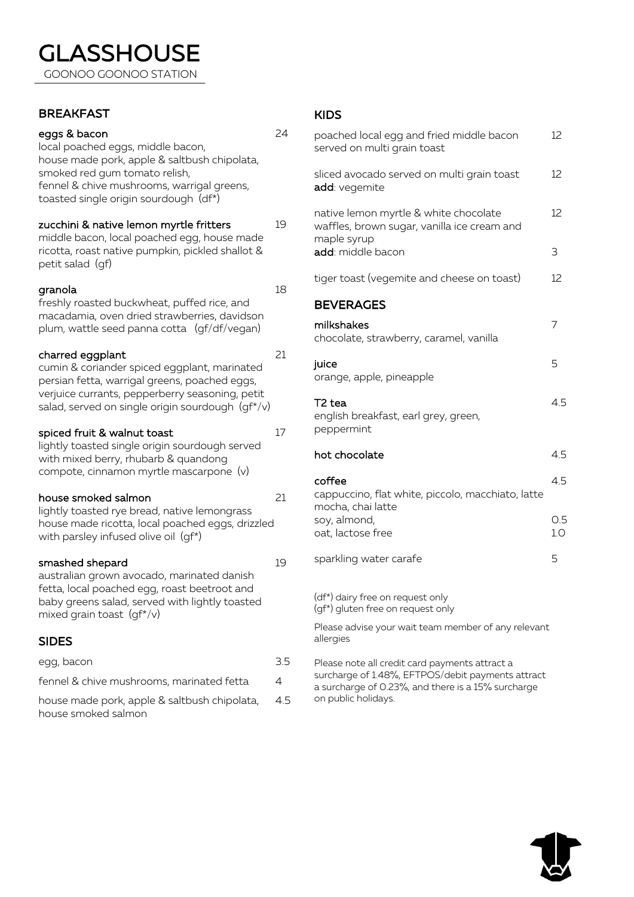## **BREAKFAST**

I

### eggs & bacon

house smoked salmon

KIDS

| eggs & bacon<br>local poached eggs, middle bacon,<br>house made pork, apple & saltbush chipolata,                                                              | 24             | poached local egg and fried middle bacon<br>served on multi grain toast                                                  |
|----------------------------------------------------------------------------------------------------------------------------------------------------------------|----------------|--------------------------------------------------------------------------------------------------------------------------|
| smoked red gum tomato relish,<br>fennel & chive mushrooms, warrigal greens,<br>toasted single origin sourdough (df*)                                           |                | sliced avocado served on multi grain toast<br>add: vegemite                                                              |
| zucchini & native lemon myrtle fritters<br>middle bacon, local poached egg, house made<br>ricotta, roast native pumpkin, pickled shallot &<br>petit salad (gf) | 19             | native lemon myrtle & white chocolate<br>waffles, brown sugar, vanilla ice cream and<br>maple syrup<br>add: middle bacon |
| granola                                                                                                                                                        | 18             | tiger toast (vegemite and cheese on toast)                                                                               |
| freshly roasted buckwheat, puffed rice, and<br>macadamia, oven dried strawberries, davidson                                                                    |                | <b>BEVERAGES</b>                                                                                                         |
| plum, wattle seed panna cotta (gf/df/vegan)                                                                                                                    |                | milkshakes<br>chocolate, strawberry, caramel, vanilla                                                                    |
| charred eggplant<br>cumin & coriander spiced eggplant, marinated<br>persian fetta, warrigal greens, poached eggs,                                              | 21             | juice<br>orange, apple, pineapple                                                                                        |
| verjuice currants, pepperberry seasoning, petit<br>salad, served on single origin sourdough $(gf^*/v)$                                                         |                | T2 tea<br>english breakfast, earl grey, green,                                                                           |
| spiced fruit & walnut toast                                                                                                                                    | 17             | peppermint                                                                                                               |
| lightly toasted single origin sourdough served<br>with mixed berry, rhubarb & quandong                                                                         |                | hot chocolate                                                                                                            |
| compote, cinnamon myrtle mascarpone (v)                                                                                                                        |                | coffee                                                                                                                   |
| house smoked salmon<br>lightly toasted rye bread, native lemongrass                                                                                            | 21             | cappuccino, flat white, piccolo, macchiato, latte<br>mocha, chai latte                                                   |
| house made ricotta, local poached eggs, drizzled<br>with parsley infused olive oil (gf*)                                                                       |                | soy, almond,<br>oat, lactose free                                                                                        |
| smashed shepard<br>australian grown avocado, marinated danish                                                                                                  | 19             | sparkling water carafe                                                                                                   |
| fetta, local poached egg, roast beetroot and<br>baby greens salad, served with lightly toasted<br>mixed grain toast $(gf^*/v)$                                 |                | (df*) dairy free on request only<br>(gf*) gluten free on request only                                                    |
| <b>SIDES</b>                                                                                                                                                   |                | Please advise your wait team member of any relevant<br>allergies                                                         |
| egg, bacon                                                                                                                                                     | 3.5            | Please note all credit card payments attract a                                                                           |
| fennel & chive mushrooms, marinated fetta                                                                                                                      | $\overline{4}$ | surcharge of 1.48%, EFTPOS/debit payments attract<br>a surcharge of 0.23%, and there is a 15% surcharge                  |
| house made pork, apple & saltbush chipolata,                                                                                                                   | 4.5            | on public holidays.                                                                                                      |

12

12

12

3

12

7

5

4.5

4.5

4.5

0.5 1.0

5